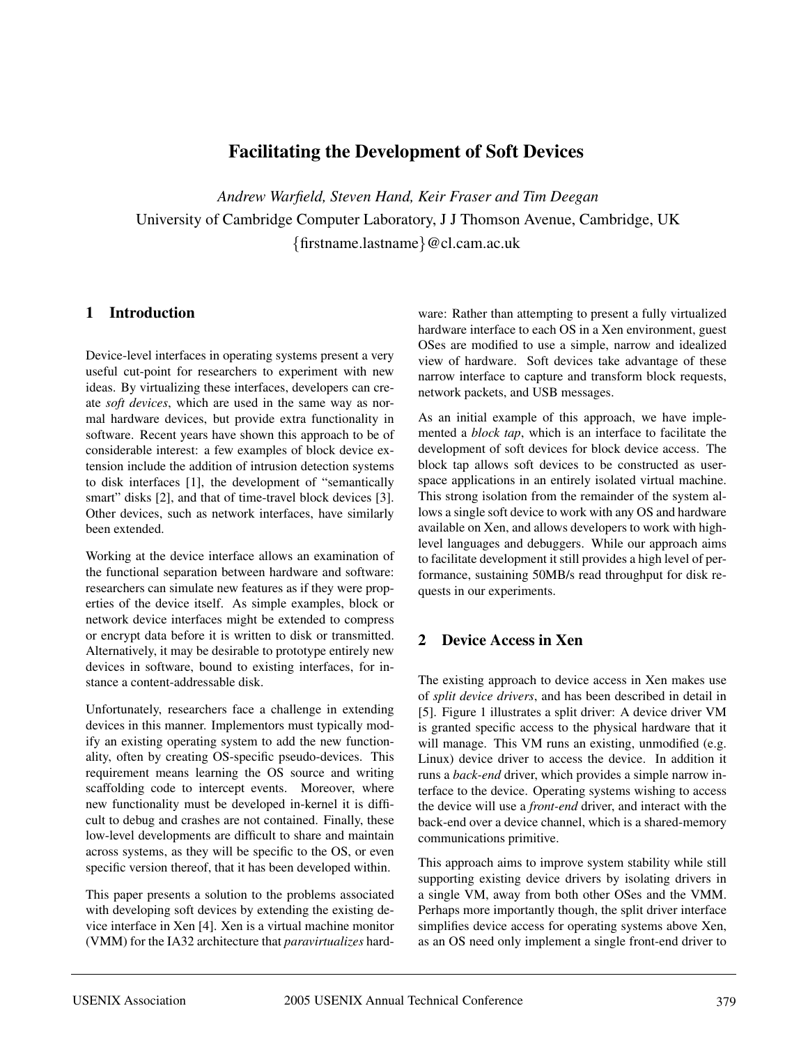# **Facilitating the Development of Soft Devices**

*Andrew Warfield, Steven Hand, Keir Fraser and Tim Deegan* University of Cambridge Computer Laboratory, J J Thomson Avenue, Cambridge, UK {firstname.lastname}@cl.cam.ac.uk

# **1 Introduction**

Device-level interfaces in operating systems present a very useful cut-point for researchers to experiment with new ideas. By virtualizing these interfaces, developers can create *soft devices*, which are used in the same way as normal hardware devices, but provide extra functionality in software. Recent years have shown this approach to be of considerable interest: a few examples of block device extension include the addition of intrusion detection systems to disk interfaces [1], the development of "semantically smart" disks [2], and that of time-travel block devices [3]. Other devices, such as network interfaces, have similarly been extended.

Working at the device interface allows an examination of the functional separation between hardware and software: researchers can simulate new features as if they were properties of the device itself. As simple examples, block or network device interfaces might be extended to compress or encrypt data before it is written to disk or transmitted. Alternatively, it may be desirable to prototype entirely new devices in software, bound to existing interfaces, for instance a content-addressable disk.

Unfortunately, researchers face a challenge in extending devices in this manner. Implementors must typically modify an existing operating system to add the new functionality, often by creating OS-specific pseudo-devices. This requirement means learning the OS source and writing scaffolding code to intercept events. Moreover, where new functionality must be developed in-kernel it is difficult to debug and crashes are not contained. Finally, these low-level developments are difficult to share and maintain across systems, as they will be specific to the OS, or even specific version thereof, that it has been developed within.

This paper presents a solution to the problems associated with developing soft devices by extending the existing device interface in Xen [4]. Xen is a virtual machine monitor (VMM) for the IA32 architecture that *paravirtualizes* hardware: Rather than attempting to present a fully virtualized hardware interface to each OS in a Xen environment, guest OSes are modified to use a simple, narrow and idealized view of hardware. Soft devices take advantage of these narrow interface to capture and transform block requests, network packets, and USB messages.

As an initial example of this approach, we have implemented a *block tap*, which is an interface to facilitate the development of soft devices for block device access. The block tap allows soft devices to be constructed as userspace applications in an entirely isolated virtual machine. This strong isolation from the remainder of the system allows a single soft device to work with any OS and hardware available on Xen, and allows developers to work with highlevel languages and debuggers. While our approach aims to facilitate development it still provides a high level of performance, sustaining 50MB/s read throughput for disk requests in our experiments.

# **2 Device Access in Xen**

The existing approach to device access in Xen makes use of *split device drivers*, and has been described in detail in [5]. Figure 1 illustrates a split driver: A device driver VM is granted specific access to the physical hardware that it will manage. This VM runs an existing, unmodified (e.g. Linux) device driver to access the device. In addition it runs a *back-end* driver, which provides a simple narrow interface to the device. Operating systems wishing to access the device will use a *front-end* driver, and interact with the back-end over a device channel, which is a shared-memory communications primitive.

This approach aims to improve system stability while still supporting existing device drivers by isolating drivers in a single VM, away from both other OSes and the VMM. Perhaps more importantly though, the split driver interface simplifies device access for operating systems above Xen, as an OS need only implement a single front-end driver to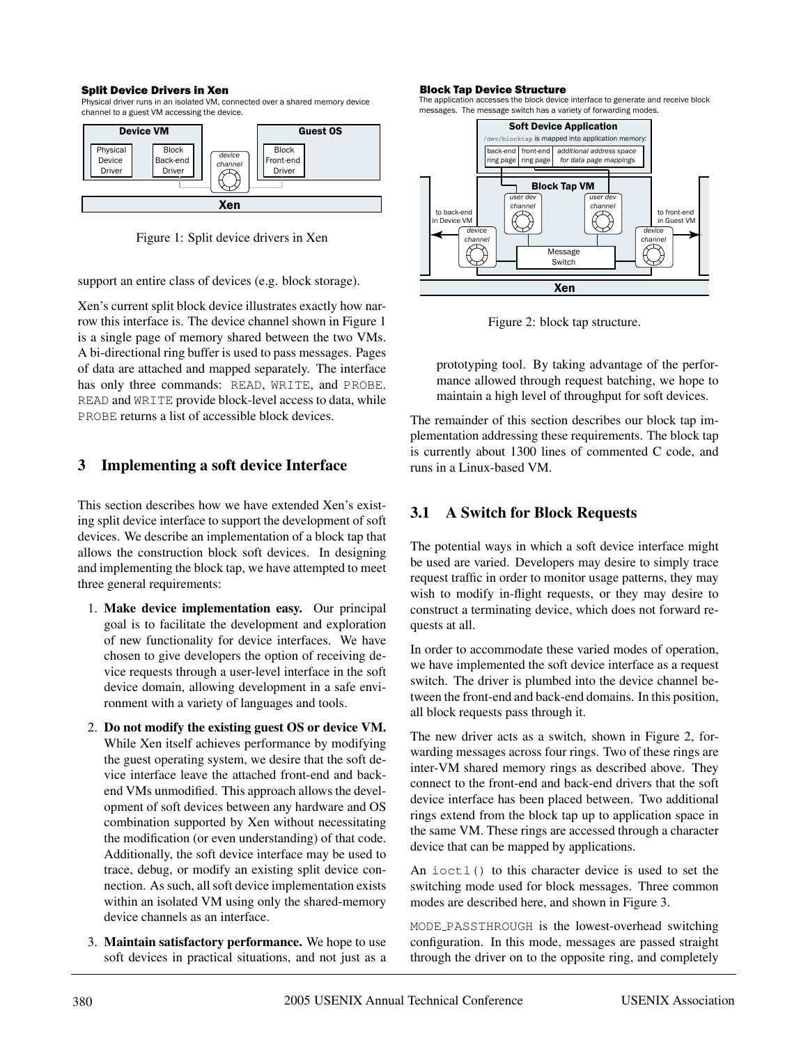#### Split Device Drivers in Xen

Physical driver runs in an isolated VM, connected over a shared memory device channel to a guest VM accessing the device.



Figure 1: Split device drivers in Xen

support an entire class of devices (e.g. block storage).

Xen's current split block device illustrates exactly how narrow this interface is. The device channel shown in Figure 1 is a single page of memory shared between the two VMs. A bi-directional ring buffer is used to pass messages. Pages of data are attached and mapped separately. The interface has only three commands: READ, WRITE, and PROBE. READ and WRITE provide block-level access to data, while PROBE returns a list of accessible block devices.

#### **3 Implementing a soft device Interface**

This section describes how we have extended Xen's existing split device interface to support the development of soft devices. We describe an implementation of a block tap that allows the construction block soft devices. In designing and implementing the block tap, we have attempted to meet three general requirements:

- 1. **Make device implementation easy.** Our principal goal is to facilitate the development and exploration of new functionality for device interfaces. We have chosen to give developers the option of receiving device requests through a user-level interface in the soft device domain, allowing development in a safe environment with a variety of languages and tools.
- 2. **Do not modify the existing guest OS or device VM.** While Xen itself achieves performance by modifying the guest operating system, we desire that the soft device interface leave the attached front-end and backend VMs unmodified. This approach allows the development of soft devices between any hardware and OS combination supported by Xen without necessitating the modification (or even understanding) of that code. Additionally, the soft device interface may be used to trace, debug, or modify an existing split device connection. As such, all soft device implementation exists within an isolated VM using only the shared-memory device channels as an interface.
- 3. **Maintain satisfactory performance.** We hope to use soft devices in practical situations, and not just as a

#### Block Tap Device Structure

The application accesses the block device interface to generate and receive block messages. The message switch has a variety of forwarding modes.



Figure 2: block tap structure.

prototyping tool. By taking advantage of the performance allowed through request batching, we hope to maintain a high level of throughput for soft devices.

The remainder of this section describes our block tap implementation addressing these requirements. The block tap is currently about 1300 lines of commented C code, and runs in a Linux-based VM.

# **3.1 A Switch for Block Requests**

The potential ways in which a soft device interface might be used are varied. Developers may desire to simply trace request traffic in order to monitor usage patterns, they may wish to modify in-flight requests, or they may desire to construct a terminating device, which does not forward requests at all.

In order to accommodate these varied modes of operation, we have implemented the soft device interface as a request switch. The driver is plumbed into the device channel between the front-end and back-end domains. In this position, all block requests pass through it.

The new driver acts as a switch, shown in Figure 2, forwarding messages across four rings. Two of these rings are inter-VM shared memory rings as described above. They connect to the front-end and back-end drivers that the soft device interface has been placed between. Two additional rings extend from the block tap up to application space in the same VM. These rings are accessed through a character device that can be mapped by applications.

An ioctl() to this character device is used to set the switching mode used for block messages. Three common modes are described here, and shown in Figure 3.

MODE PASSTHROUGH is the lowest-overhead switching configuration. In this mode, messages are passed straight through the driver on to the opposite ring, and completely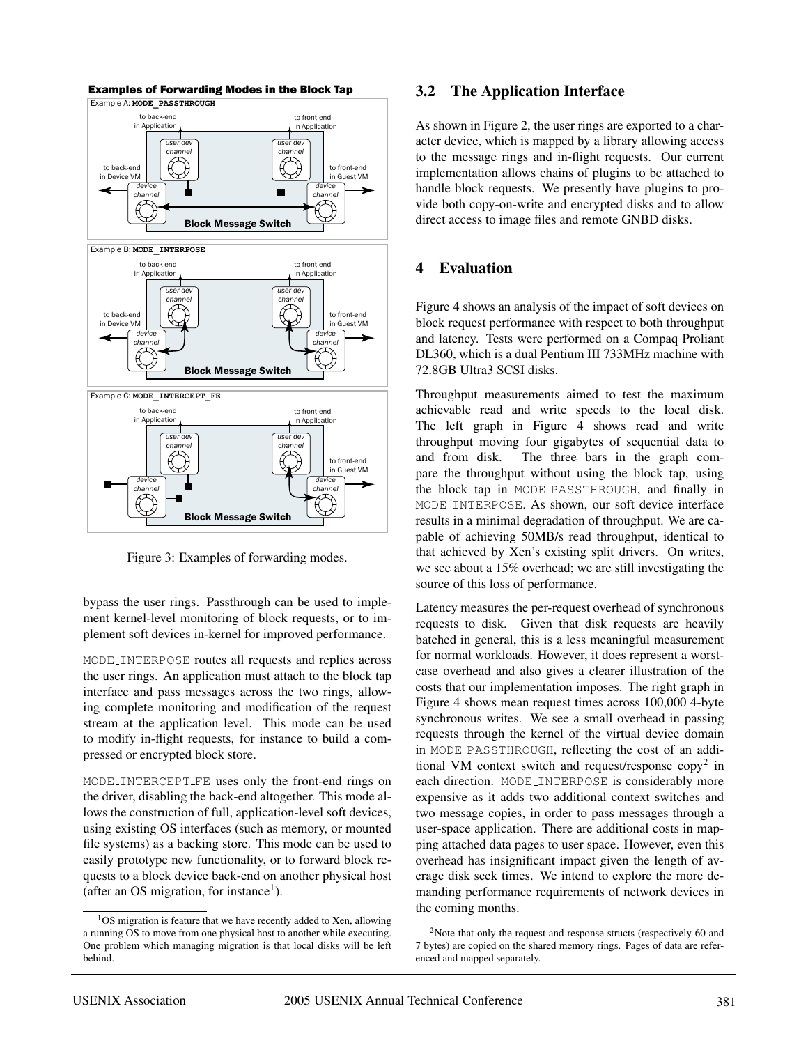

Figure 3: Examples of forwarding modes.

bypass the user rings. Passthrough can be used to implement kernel-level monitoring of block requests, or to implement soft devices in-kernel for improved performance.

MODE INTERPOSE routes all requests and replies across the user rings. An application must attach to the block tap interface and pass messages across the two rings, allowing complete monitoring and modification of the request stream at the application level. This mode can be used to modify in-flight requests, for instance to build a compressed or encrypted block store.

MODE INTERCEPT FE uses only the front-end rings on the driver, disabling the back-end altogether. This mode allows the construction of full, application-level soft devices, using existing OS interfaces (such as memory, or mounted file systems) as a backing store. This mode can be used to easily prototype new functionality, or to forward block requests to a block device back-end on another physical host (after an OS migration, for instance<sup>1</sup>).

#### **3.2 The Application Interface**

As shown in Figure 2, the user rings are exported to a character device, which is mapped by a library allowing access to the message rings and in-flight requests. Our current implementation allows chains of plugins to be attached to handle block requests. We presently have plugins to provide both copy-on-write and encrypted disks and to allow direct access to image files and remote GNBD disks.

#### **4 Evaluation**

Figure 4 shows an analysis of the impact of soft devices on block request performance with respect to both throughput and latency. Tests were performed on a Compaq Proliant DL360, which is a dual Pentium III 733MHz machine with 72.8GB Ultra3 SCSI disks.

Throughput measurements aimed to test the maximum achievable read and write speeds to the local disk. The left graph in Figure 4 shows read and write throughput moving four gigabytes of sequential data to and from disk. The three bars in the graph compare the throughput without using the block tap, using the block tap in MODE PASSTHROUGH, and finally in MODE INTERPOSE. As shown, our soft device interface results in a minimal degradation of throughput. We are capable of achieving 50MB/s read throughput, identical to that achieved by Xen's existing split drivers. On writes, we see about a 15% overhead; we are still investigating the source of this loss of performance.

Latency measures the per-request overhead of synchronous requests to disk. Given that disk requests are heavily batched in general, this is a less meaningful measurement for normal workloads. However, it does represent a worstcase overhead and also gives a clearer illustration of the costs that our implementation imposes. The right graph in Figure 4 shows mean request times across 100,000 4-byte synchronous writes. We see a small overhead in passing requests through the kernel of the virtual device domain in MODE PASSTHROUGH, reflecting the cost of an additional VM context switch and request/response  $\text{copy}^2$  in each direction. MODE INTERPOSE is considerably more expensive as it adds two additional context switches and two message copies, in order to pass messages through a user-space application. There are additional costs in mapping attached data pages to user space. However, even this overhead has insignificant impact given the length of average disk seek times. We intend to explore the more demanding performance requirements of network devices in the coming months.

<sup>1</sup>OS migration is feature that we have recently added to Xen, allowing a running OS to move from one physical host to another while executing. One problem which managing migration is that local disks will be left behind.

<sup>&</sup>lt;sup>2</sup>Note that only the request and response structs (respectively 60 and 7 bytes) are copied on the shared memory rings. Pages of data are referenced and mapped separately.